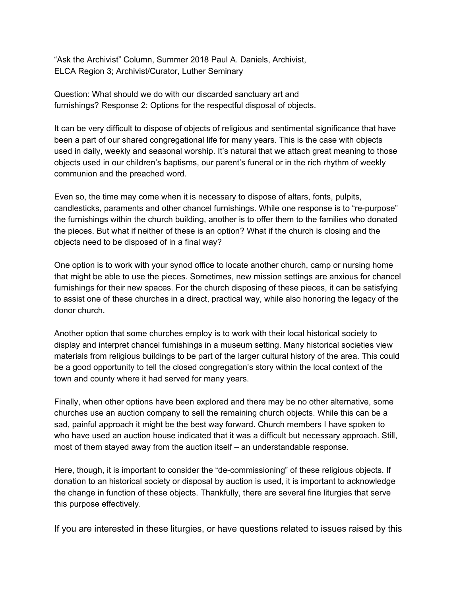"Ask the Archivist" Column, Summer 2018 Paul A. Daniels, Archivist, ELCA Region 3; Archivist/Curator, Luther Seminary

Question: What should we do with our discarded sanctuary art and furnishings? Response 2: Options for the respectful disposal of objects.

It can be very difficult to dispose of objects of religious and sentimental significance that have been a part of our shared congregational life for many years. This is the case with objects used in daily, weekly and seasonal worship. It's natural that we attach great meaning to those objects used in our children's baptisms, our parent's funeral or in the rich rhythm of weekly communion and the preached word.

Even so, the time may come when it is necessary to dispose of altars, fonts, pulpits, candlesticks, paraments and other chancel furnishings. While one response is to "re-purpose" the furnishings within the church building, another is to offer them to the families who donated the pieces. But what if neither of these is an option? What if the church is closing and the objects need to be disposed of in a final way?

One option is to work with your synod office to locate another church, camp or nursing home that might be able to use the pieces. Sometimes, new mission settings are anxious for chancel furnishings for their new spaces. For the church disposing of these pieces, it can be satisfying to assist one of these churches in a direct, practical way, while also honoring the legacy of the donor church.

Another option that some churches employ is to work with their local historical society to display and interpret chancel furnishings in a museum setting. Many historical societies view materials from religious buildings to be part of the larger cultural history of the area. This could be a good opportunity to tell the closed congregation's story within the local context of the town and county where it had served for many years.

Finally, when other options have been explored and there may be no other alternative, some churches use an auction company to sell the remaining church objects. While this can be a sad, painful approach it might be the best way forward. Church members I have spoken to who have used an auction house indicated that it was a difficult but necessary approach. Still, most of them stayed away from the auction itself – an understandable response.

Here, though, it is important to consider the "de-commissioning" of these religious objects. If donation to an historical society or disposal by auction is used, it is important to acknowledge the change in function of these objects. Thankfully, there are several fine liturgies that serve this purpose effectively.

If you are interested in these liturgies, or have questions related to issues raised by this